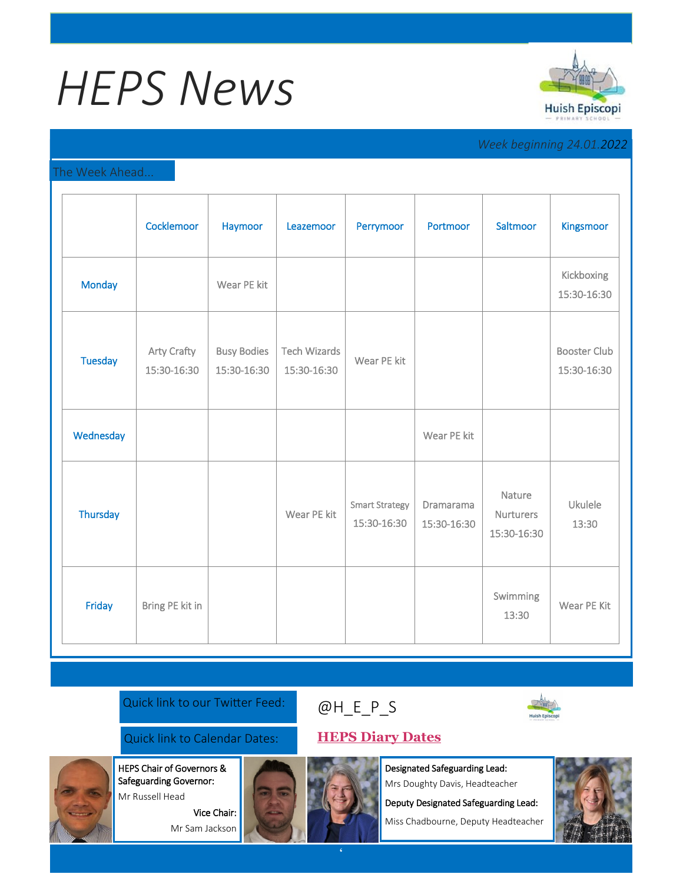# *HEPS News*



### *Week beginning 24.01.2022*

#### The Week Ahead...

|                | Cocklemoor                        | Haymoor                           | Leazemoor                          | Perrymoor                            | Portmoor                 | Saltmoor                                  | Kingsmoor                          |
|----------------|-----------------------------------|-----------------------------------|------------------------------------|--------------------------------------|--------------------------|-------------------------------------------|------------------------------------|
| Monday         |                                   | Wear PE kit                       |                                    |                                      |                          |                                           | Kickboxing<br>15:30-16:30          |
| <b>Tuesday</b> | <b>Arty Crafty</b><br>15:30-16:30 | <b>Busy Bodies</b><br>15:30-16:30 | <b>Tech Wizards</b><br>15:30-16:30 | Wear PE kit                          |                          |                                           | <b>Booster Club</b><br>15:30-16:30 |
| Wednesday      |                                   |                                   |                                    |                                      | Wear PE kit              |                                           |                                    |
| Thursday       |                                   |                                   | Wear PE kit                        | <b>Smart Strategy</b><br>15:30-16:30 | Dramarama<br>15:30-16:30 | Nature<br><b>Nurturers</b><br>15:30-16:30 | Ukulele<br>13:30                   |
| Friday         | Bring PE kit in                   |                                   |                                    |                                      |                          | Swimming<br>13:30                         | Wear PE Kit                        |

#### Quick link to our Twitter Feed:

## [@H\\_E\\_](https://huishepiscopiprimary.co.uk/diary-dates/)P\_S



Quick link to Calendar Dates: **[HEPS Diary Dates](https://huishepiscopiprimary.co.uk/diary-dates/)**

Vice Chair: Mr Sam Jackson

HEPS Chair of Governors & Safeguarding Governor: Mr Russell Head



Deputy Designated Safeguarding Lead:

Miss Chadbourne, Deputy Headteacher